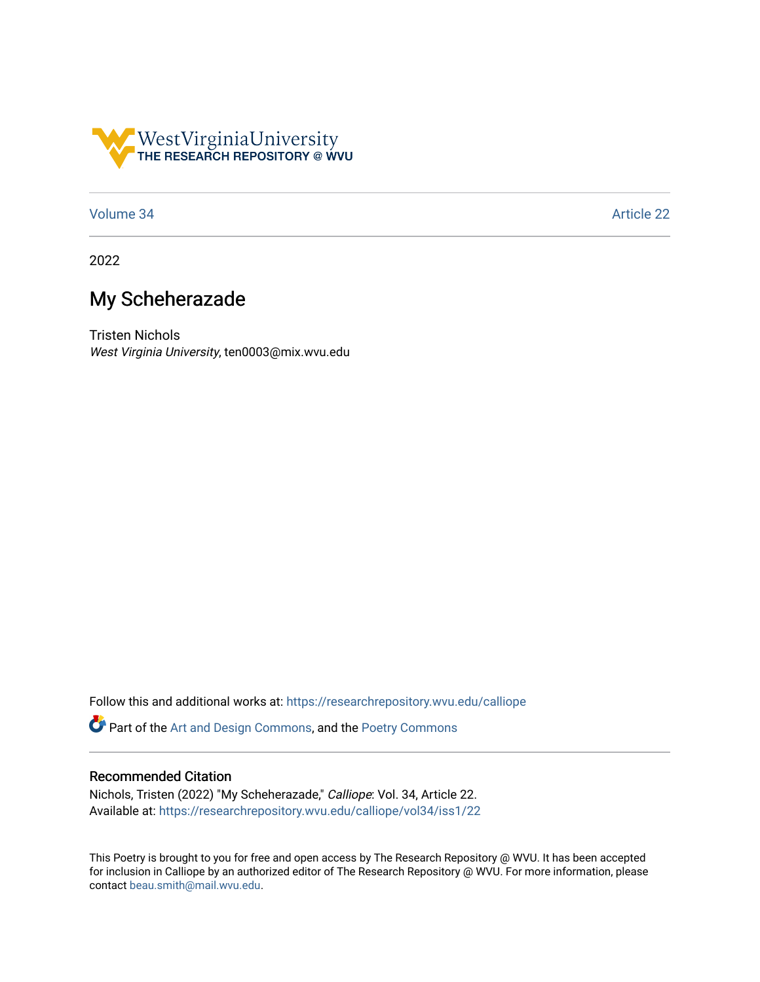

## [Volume 34](https://researchrepository.wvu.edu/calliope/vol34) Article 22

2022

## My Scheherazade

Tristen Nichols West Virginia University, ten0003@mix.wvu.edu

Follow this and additional works at: [https://researchrepository.wvu.edu/calliope](https://researchrepository.wvu.edu/calliope?utm_source=researchrepository.wvu.edu%2Fcalliope%2Fvol34%2Fiss1%2F22&utm_medium=PDF&utm_campaign=PDFCoverPages)

Part of the [Art and Design Commons](http://network.bepress.com/hgg/discipline/1049?utm_source=researchrepository.wvu.edu%2Fcalliope%2Fvol34%2Fiss1%2F22&utm_medium=PDF&utm_campaign=PDFCoverPages), and the [Poetry Commons](http://network.bepress.com/hgg/discipline/1153?utm_source=researchrepository.wvu.edu%2Fcalliope%2Fvol34%2Fiss1%2F22&utm_medium=PDF&utm_campaign=PDFCoverPages) 

## Recommended Citation

Nichols, Tristen (2022) "My Scheherazade," Calliope: Vol. 34, Article 22. Available at: [https://researchrepository.wvu.edu/calliope/vol34/iss1/22](https://researchrepository.wvu.edu/calliope/vol34/iss1/22?utm_source=researchrepository.wvu.edu%2Fcalliope%2Fvol34%2Fiss1%2F22&utm_medium=PDF&utm_campaign=PDFCoverPages)

This Poetry is brought to you for free and open access by The Research Repository @ WVU. It has been accepted for inclusion in Calliope by an authorized editor of The Research Repository @ WVU. For more information, please contact [beau.smith@mail.wvu.edu](mailto:beau.smith@mail.wvu.edu).